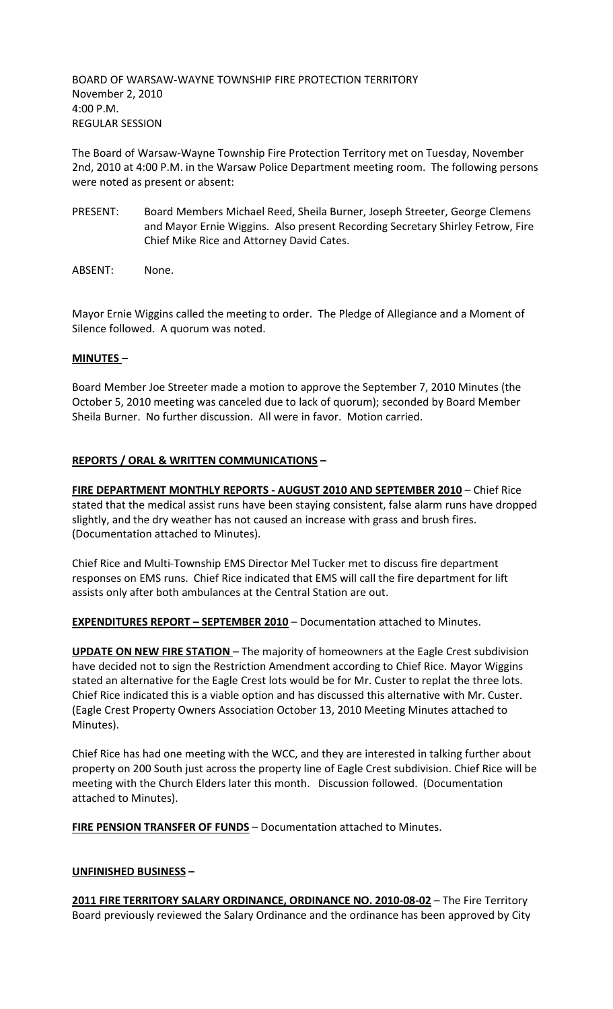BOARD OF WARSAW-WAYNE TOWNSHIP FIRE PROTECTION TERRITORY November 2, 2010 4:00 P.M. REGULAR SESSION

The Board of Warsaw-Wayne Township Fire Protection Territory met on Tuesday, November 2nd, 2010 at 4:00 P.M. in the Warsaw Police Department meeting room. The following persons were noted as present or absent:

- PRESENT: Board Members Michael Reed, Sheila Burner, Joseph Streeter, George Clemens and Mayor Ernie Wiggins. Also present Recording Secretary Shirley Fetrow, Fire Chief Mike Rice and Attorney David Cates.
- ABSENT: None.

Mayor Ernie Wiggins called the meeting to order. The Pledge of Allegiance and a Moment of Silence followed. A quorum was noted.

#### **MINUTES –**

Board Member Joe Streeter made a motion to approve the September 7, 2010 Minutes (the October 5, 2010 meeting was canceled due to lack of quorum); seconded by Board Member Sheila Burner. No further discussion. All were in favor. Motion carried.

## **REPORTS / ORAL & WRITTEN COMMUNICATIONS –**

**FIRE DEPARTMENT MONTHLY REPORTS - AUGUST 2010 AND SEPTEMBER 2010** – Chief Rice stated that the medical assist runs have been staying consistent, false alarm runs have dropped slightly, and the dry weather has not caused an increase with grass and brush fires. (Documentation attached to Minutes).

Chief Rice and Multi-Township EMS Director Mel Tucker met to discuss fire department responses on EMS runs. Chief Rice indicated that EMS will call the fire department for lift assists only after both ambulances at the Central Station are out.

**EXPENDITURES REPORT – SEPTEMBER 2010** – Documentation attached to Minutes.

**UPDATE ON NEW FIRE STATION** – The majority of homeowners at the Eagle Crest subdivision have decided not to sign the Restriction Amendment according to Chief Rice. Mayor Wiggins stated an alternative for the Eagle Crest lots would be for Mr. Custer to replat the three lots. Chief Rice indicated this is a viable option and has discussed this alternative with Mr. Custer. (Eagle Crest Property Owners Association October 13, 2010 Meeting Minutes attached to Minutes).

Chief Rice has had one meeting with the WCC, and they are interested in talking further about property on 200 South just across the property line of Eagle Crest subdivision. Chief Rice will be meeting with the Church Elders later this month. Discussion followed. (Documentation attached to Minutes).

**FIRE PENSION TRANSFER OF FUNDS** – Documentation attached to Minutes.

## **UNFINISHED BUSINESS –**

**2011 FIRE TERRITORY SALARY ORDINANCE, ORDINANCE NO. 2010-08-02** – The Fire Territory Board previously reviewed the Salary Ordinance and the ordinance has been approved by City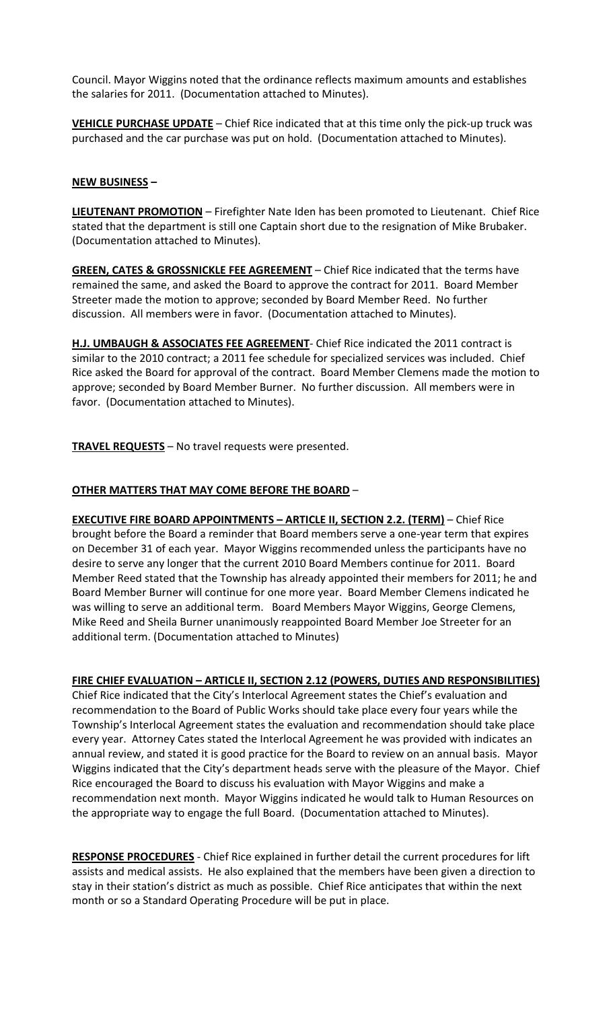Council. Mayor Wiggins noted that the ordinance reflects maximum amounts and establishes the salaries for 2011. (Documentation attached to Minutes).

**VEHICLE PURCHASE UPDATE** – Chief Rice indicated that at this time only the pick-up truck was purchased and the car purchase was put on hold. (Documentation attached to Minutes).

### **NEW BUSINESS –**

**LIEUTENANT PROMOTION** – Firefighter Nate Iden has been promoted to Lieutenant. Chief Rice stated that the department is still one Captain short due to the resignation of Mike Brubaker. (Documentation attached to Minutes).

**GREEN, CATES & GROSSNICKLE FEE AGREEMENT** – Chief Rice indicated that the terms have remained the same, and asked the Board to approve the contract for 2011. Board Member Streeter made the motion to approve; seconded by Board Member Reed. No further discussion. All members were in favor. (Documentation attached to Minutes).

**H.J. UMBAUGH & ASSOCIATES FEE AGREEMENT**- Chief Rice indicated the 2011 contract is similar to the 2010 contract; a 2011 fee schedule for specialized services was included. Chief Rice asked the Board for approval of the contract. Board Member Clemens made the motion to approve; seconded by Board Member Burner. No further discussion. All members were in favor. (Documentation attached to Minutes).

**TRAVEL REQUESTS** – No travel requests were presented.

# **OTHER MATTERS THAT MAY COME BEFORE THE BOARD** –

**EXECUTIVE FIRE BOARD APPOINTMENTS – ARTICLE II, SECTION 2.2. (TERM)** – Chief Rice brought before the Board a reminder that Board members serve a one-year term that expires on December 31 of each year. Mayor Wiggins recommended unless the participants have no desire to serve any longer that the current 2010 Board Members continue for 2011. Board Member Reed stated that the Township has already appointed their members for 2011; he and Board Member Burner will continue for one more year. Board Member Clemens indicated he was willing to serve an additional term. Board Members Mayor Wiggins, George Clemens, Mike Reed and Sheila Burner unanimously reappointed Board Member Joe Streeter for an additional term. (Documentation attached to Minutes)

## **FIRE CHIEF EVALUATION – ARTICLE II, SECTION 2.12 (POWERS, DUTIES AND RESPONSIBILITIES)**

Chief Rice indicated that the City's Interlocal Agreement states the Chief's evaluation and recommendation to the Board of Public Works should take place every four years while the Township's Interlocal Agreement states the evaluation and recommendation should take place every year. Attorney Cates stated the Interlocal Agreement he was provided with indicates an annual review, and stated it is good practice for the Board to review on an annual basis. Mayor Wiggins indicated that the City's department heads serve with the pleasure of the Mayor. Chief Rice encouraged the Board to discuss his evaluation with Mayor Wiggins and make a recommendation next month. Mayor Wiggins indicated he would talk to Human Resources on the appropriate way to engage the full Board. (Documentation attached to Minutes).

**RESPONSE PROCEDURES** - Chief Rice explained in further detail the current procedures for lift assists and medical assists. He also explained that the members have been given a direction to stay in their station's district as much as possible. Chief Rice anticipates that within the next month or so a Standard Operating Procedure will be put in place.